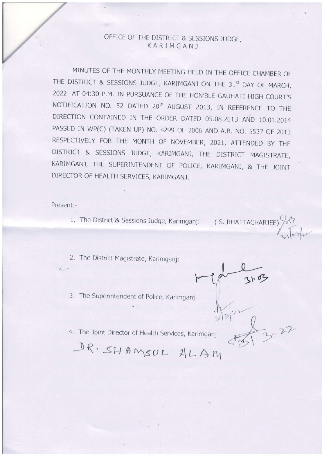## OFFICE OF THE DISTRICT & SESSIONS JUDGE, KARIMGANI

MINUTES OF THE MONTHLY MEETING HELD IN THE OFFICE CHAMBER OF THE DISTRICT & SESSIONS JUDGE, KARIMGANJ ON THE 31st DAY OF MARCH, 2022 AT 04:30 P.M. IN PURSUANCE OF THE HON'BLE GAUHATI HIGH COURT'S NOTIFICATION NO. 52 DATED 20<sup>th</sup> AUGUST 2013, IN REFERENCE TO THE DIRECTION CONTAINED IN THE ORDER DATED 05.08.2013 AND 10.01.2014 PASSED IN WP(C) (TAKEN UP) NO. 4299 OF 2006 AND A.B. NO. 5537 OF 2013 RESPECTIVELY FOR THE MONTH OF NOVEMBER, 2021, ATTENDED BY THE DISTRICT & SESSIONS JUDGE, KARIMGANJ, THE DISTRICT MAGISTRATE, KARIMGANJ, THE SUPERINTENDENT OF POLICE, KARIMGANJ, & THE JOINT DIRECTOR OF HEALTH SERVICES, KARIMGANJ.

Present:-

 $\mathcal{I}_{\text{shock}} = -1$ 

1. The District & Sessions Judge, Karimganj: (S. BHATTACHARJEE)

- 2. The District Magistrate, Karimganj:
- 3. The Superintendent of Police, Karimganj:

4. The Joint Director of Health Services, Karimganj:

DR. SHAMSUL ALAM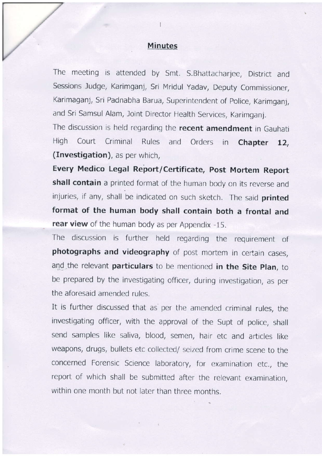## Minutes

I

The meeting is attended by Smt. S. Bhattacharjee, District and Sessions Judge, Karimganj, Sri Mridul Yadav, Deputy Commissioner, Karimaganj, Sri Padnabha Barua, Superintendent of Police, Karimganj, and Sri Samsul Alam, Joint Director Health Services, Karimganj.

The discussion is held regarding the recent amendment in Gauhati High Court Criminal Rules and Orders in Chapter 12, (Investigation), as per which,

Every Medico Legal Report/ Certificate, Post Mortem Report shall contain a printed format of the human body on its reverse and injuries, if any, shall be indicated on such sketch. The said printed format of the human body shall contain both a frontal and rear view of the human body as per Appendix -15.

The discussion is further held reqardinq the requirement of photographs and videography of post mortem in certain cases, and the relevant particulars to be mentioned in the Site Plan, to be prepared by the investiqatinq officer, durinq investigation, as per the aforesaid amended rules.

It is further discussed that as per the amended criminal rules, the investigating officer, with the approval of the Supt of police, shall send samples like saliva, blood, semen, hair etc and articles like weapons, drugs, bullets etc collected/ seized from crime scene to the concerned Forensic Science laboratory, for examination etc., the report of which shall be submitted after the relevant examination, within one month but not later than three months.